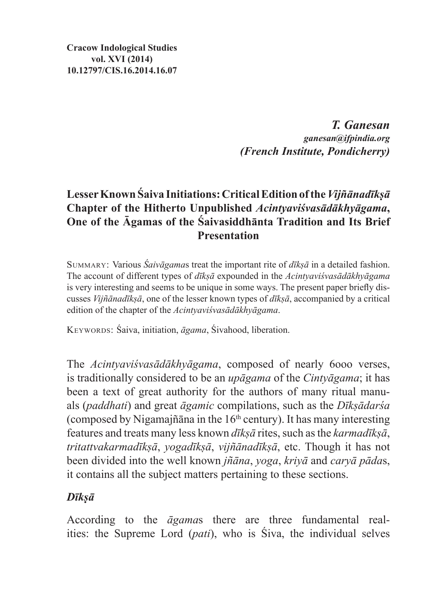**Cracow Indological Studies vol. XVI (2014) 10.12797/CIS.16.2014.16.07**

> *T. Ganesan ganesan@ifpindia.org (French Institute, Pondicherry)*

## **Lesser Known Śaiva Initiations: Critical Edition of the** *Vijñānadīkṣā*  **Chapter of the Hitherto Unpublished** *Acintyaviśvasādākhyāgama***, One of the Āgamas of the Śaivasiddhānta Tradition and Its Brief Presentation**

Summary: Various *Śaivāgama*s treat the important rite of *dīkṣā* in a detailed fashion. The account of different types of *dīkṣā* expounded in the *Acintyaviśvasādākhyāgama* is very interesting and seems to be unique in some ways. The present paper briefly discusses *Vijñānadīkṣā*, one of the lesser known types of *dīkṣā*, accompanied by a critical edition of the chapter of the *Acintyaviśvasādākhyāgama*.

KEYWORDS: Śaiva, initiation,  $\bar{a}$ gama, Śivahood, liberation.

The *Acintyaviśvasādākhyāgama*, composed of nearly 6ooo verses, is traditionally considered to be an *upāgama* of the *Cintyāgama*; it has been a text of great authority for the authors of many ritual manuals (*paddhati*) and great *āgamic* compilations, such as the *Dīkṣādarśa* (composed by Nigamajñāna in the  $16<sup>th</sup>$  century). It has many interesting features and treats many less known *dīkṣā* rites, such asthe *karmadīkṣā*, *tritattvakarmadīkṣā*, *yogadīkṣā*, *vijñānadīkṣā*, etc. Though it has not been divided into the well known *jñāna*, *yoga*, *kriyā* and *caryā pāda*s, it contains all the subject matters pertaining to these sections.

### *Dīkṣā*

According to the *āgama*s there are three fundamental realities: the Supreme Lord (*pati*), who is Śiva, the individual selves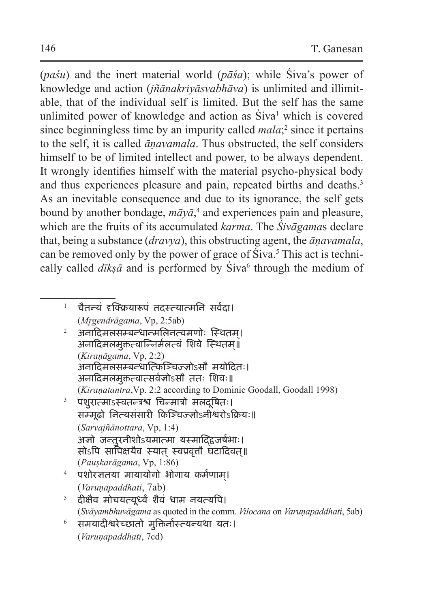(*paśu*) and the inert material world (*pāśa*); while Śiva's power of knowledge and action (*jñānakriyāsvabhāva*) is unlimited and illimitable, that of the individual self is limited. But the self has the same unlimited power of knowledge and action as Siva<sup>1</sup> which is covered since beginningless time by an impurity called *mala*;<sup>2</sup> since it pertains to the self, it is called *āṇavamala*. Thus obstructed, the self considers himself to be of limited intellect and power, to be always dependent. It wrongly identifies himself with the material psycho-physical body and thus experiences pleasure and pain, repeated births and deaths.<sup>3</sup> As an inevitable consequence and due to its ignorance, the self gets bound by another bondage, *māyā*, 4 and experiences pain and pleasure, which are the fruits of its accumulated *karma*. The *Śivāgama*s declare that, being a substance (*dravya*), this obstructing agent, the *āṇavamala*, can be removed only by the power of grace of Siva.<sup>5</sup> This act is technically called *dīkṣā* and is performed by Siva<sup>6</sup> through the medium of

- $1$  चैतन्यं दृक्क्रियारूपं तदस्त्यात्मनि सर्वदा। (*Mr̥gendrāgama*, Vp, 2:5ab)
- $2$  अनादिमलसम्बन्धान्मलिनत्वमणोः स्थितम्। अनादिमलमुक्तत्वान्निर्मलत्वं शिवे स्थितम॥् (*Kiraṇāgama*, Vp, 2:2) अनादिमलसम्बन्धात्किञ्चिज्ज्ञोऽसौ मयोदितः। अनादिमलमुक्तत्वात्सर्वज्ञोऽसौ ततः शिवः॥ (*Kiraṇatantra*,Vp. 2:2 according to Dominic Goodall, Goodall 1998)
- $3$  पशुरात्माऽस्वतन्त्रश्च चिन्मात्रो मलदूषितः। ू सम्मूढो नित्यसंसारी किञ्चिज्ज्ञोऽनीश्वरोऽक्रियः॥ (*Sarvajñānottara*, Vp, 1:4) अज्ञो जन्तुरनीशोऽयमात्मा यस्माद्द्विजर्षभाः। सोऽपि सापिक्षयैव स्यात् स्वप्रवृत्तौ घटादिवत्॥ (*Pauṣkarāgama*, Vp, 1:86)
- <sup>4</sup> पशोरज्ञतया मायायोगो भोगाय कर्मणाम।् (*Varuṇapaddhati*, 7ab)
- $^5$  दीक्षैव मोचयत्यूर्ध्वं शैवं धाम नयत्यपि। (*Svāyambhuvāgama* as quoted in the comm. *Vilocana* on *Varuṇapaddhati*, 5ab)
- <sup>6</sup> समयादीश्वरेच्छातो मुक्तिर्नास्त्यन्यथा यतः। (*Varuṇapaddhati*, 7cd)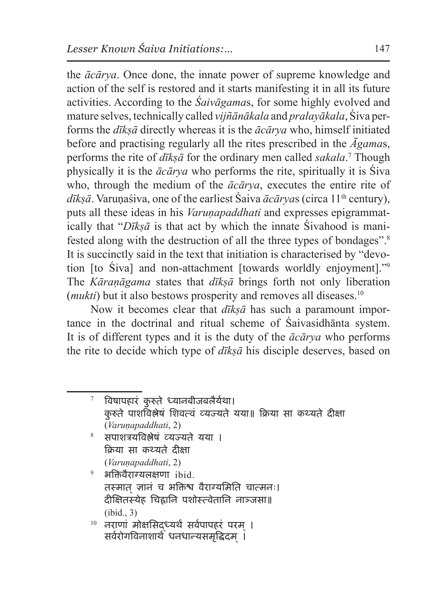the *ācārya*. Once done, the innate power of supreme knowledge and action of the self is restored and it starts manifesting it in all its future activities. According to the *Śaivāgama*s, for some highly evolved and mature selves, technically called *vijñānākala* and *pralayākala*, Śiva performs the *dīkṣā* directly whereas it is the *ācārya* who, himself initiated before and practising regularly all the rites prescribed in the *Āgama*s, performs the rite of *dīkṣā* for the ordinary men called *sakala*.<sup>7</sup> Though physically it is the *ācārya* who performs the rite, spiritually it is Śiva who, through the medium of the *ācārya*, executes the entire rite of dīksā. Varunaśiva, one of the earliest Śaiva *ācārya*s (circa 11<sup>th</sup> century), puts all these ideas in his *Varunapaddhati* and expresses epigrammatically that "*Dīkṣā* is that act by which the innate Śivahood is manifested along with the destruction of all the three types of bondages".8 It is succinctly said in the text that initiation is characterised by "devotion [to Śiva] and non-attachment [towards worldly enjoyment]."9 The *Kāraṇāgama* states that *dīkṣā* brings forth not only liberation (*mukti*) but it also bestows prosperity and removes all diseases.<sup>10</sup>

Now it becomes clear that *dīkṣā* has such a paramount importance in the doctrinal and ritual scheme of Śaivasidhānta system. It is of different types and it is the duty of the *ācārya* who performs the rite to decide which type of *dīkṣā* his disciple deserves, based on

<sup>7</sup> विषापहारं कु रुते ध्यानबीजबलैर्यथा। कु रुते पाशविश्लेषं शिवत्वं व्यज्यते यया॥ क्रिया सा कथ्यते दीक्षा (*Varuṇapaddhati*, 2) <sup>8</sup> सपाशत्रयविश्लेषं व्यज्यते यया । क्रिया सा कथ्यते दीक्षा (*Varuṇapaddhati*, 2)  $9$  भक्तिवैराग्यलक्षणा ibid. तस्मात ज्ञानं च भक्तिश्व वैराग्यमिति चात्मनः। दीक्षितस्येह चिह्नानि पशोस्त्वेतानि नाञ्जसा॥ (ibid., 3)  $^{10}$  नराणां मोक्षसिद्ध्यर्थं सर्वपापहरं परम् । सर्वरोगविनाशार्थे धनधान्यसमृद्धिदम् ।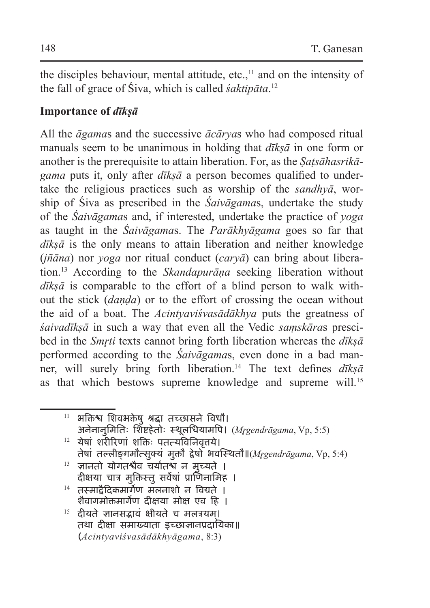the disciples behaviour, mental attitude, etc., $<sup>11</sup>$  and on the intensity of</sup> the fall of grace of Śiva, which is called *śaktipāta*. 12

### **Importance of** *dīkṣā*

All the *āgama*s and the successive *ācārya*s who had composed ritual manuals seem to be unanimous in holding that *dīkṣā* in one form or another is the prerequisite to attain liberation. For, as the *Ṣaṭsāhasrikāgama* puts it, only after *dīkṣā* a person becomes qualified to undertake the religious practices such as worship of the *sandhyā*, worship of Śiva as prescribed in the *Śaivāgama*s, undertake the study of the *Śaivāgama*s and, if interested, undertake the practice of *yoga*  as taught in the *Śaivāgama*s. The *Parākhyāgama* goes so far that *dīkṣā* is the only means to attain liberation and neither knowledge (*jñāna*) nor *yoga* nor ritual conduct (*caryā*) can bring about liberation.13 According to the *Skandapurāṇa* seeking liberation without *dīkṣā* is comparable to the effort of a blind person to walk without the stick (*daṇḍa*) or to the effort of crossing the ocean without the aid of a boat. The *Acintyaviśvasādākhya* puts the greatness of *śaivadīkṣā* in such a way that even all the Vedic *saṃskāra*s prescibed in the *Smr̥ti* texts cannot bring forth liberation whereas the *dīkṣā* performed according to the *Śaivāgama*s, even done in a bad manner, will surely bring forth liberation.14 The text defines *dīkṣā* as that which bestows supreme knowledge and supreme will.<sup>15</sup>

 $11$  भक्तिश्व शिवभक्तेषु श्रद्धा तच्छासने विधौ। अनेनानुमितिः शिष्टहेतोः स्थूलधियामपि। *(Mrgendrāgama, Vp, 5:5)*  $12$  येषां शरीरिणां शक्तिः पतत्यविनिवत्तये। तेषां तल्लीङ्गमौत्सुक्यं मुक्तौ द्वेषो भवस्थितौ॥(*Mr̥gendrāgama*, Vp, 5:4)  $13$  ज्ञानतो योगतश्चैव चर्यातश्च न मुच्यते । दीक्षया चात्र मुक्तिस्तु सर्वेषां प्राणिनामिह ।  $14$  तस्मादैदिकमार्गेण मलनाशो न विद्यते । शैवागमोक्तमार्गेण दीक्षया मोक्ष एव हि ।

 $15$  दीयते ज्ञानसद्भावं क्षीयते च मलत्रयम। तथा दीक्षा समाख्याता इच्छाज्ञानप्रदायिका॥ (*Acintyaviśvasādākhyāgama*, 8:3)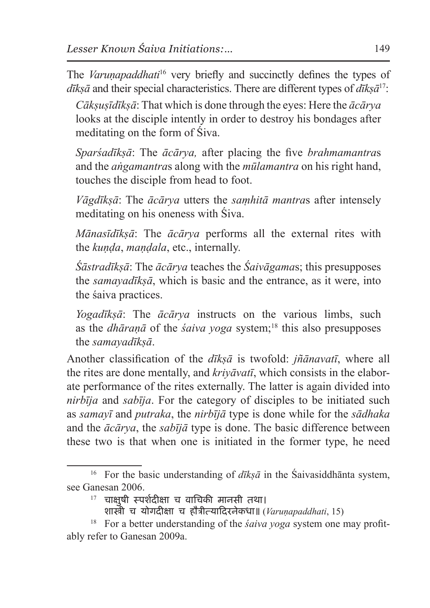The *Varunapaddhati*<sup>16</sup> very briefly and succinctly defines the types of *dīkṣā* and their special characteristics. There are different types of *dīkṣā*17:

*Cākṣuṣīdīkṣā*: That which is done through the eyes: Here the *ācārya* looks at the disciple intently in order to destroy his bondages after meditating on the form of Śiva.

*Sparśadīkṣā*: The *ācārya,* after placing the five *brahmamantra*s and the *aṅgamantra*s along with the *mūlamantra* on his right hand, touches the disciple from head to foot.

*Vāgdīkṣā*: The *ācārya* utters the *saṃhitā mantra*s after intensely meditating on his oneness with Śiva.

*Mānasīdīkṣā*: The *ācārya* performs all the external rites with the *kuṇḍa*, *maṇḍala*, etc., internally.

*Śāstradīkṣā*: The *ācārya* teaches the *Śaivāgama*s; this presupposes the *samayadīkṣā*, which is basic and the entrance, as it were, into the śaiva practices.

*Yogadīkṣā*: The *ācārya* instructs on the various limbs, such as the *dhāranā* of the *śaiva yoga* system;<sup>18</sup> this also presupposes the *samayadīkṣā*.

Another classification of the *dīkṣā* is twofold: *jñānavatī*, where all the rites are done mentally, and *kriyāvatī*, which consists in the elaborate performance of the rites externally. The latter is again divided into *nirbīja* and *sabīja*. For the category of disciples to be initiated such as *samayī* and *putraka*, the *nirbījā* type is done while for the *sādhaka* and the *ācārya*, the *sabījā* type is done. The basic difference between these two is that when one is initiated in the former type, he need

 $17$  चाक्षुषी स्पर्शदीक्षा च वाचिकी मानसी तथा।

<sup>&</sup>lt;sup>16</sup> For the basic understanding of  $d\vec{k}$ s $\vec{a}$  in the Śaivasiddhānta system, see Ganesan 2006.

शास्त्री च योगदीक्षा च हौत्रीत्यादिरनेकधा॥ (*Varuṇapaddhati*, 15)

<sup>18</sup> For a better understanding of the *śaiva yoga* system one may profitably refer to Ganesan 2009a.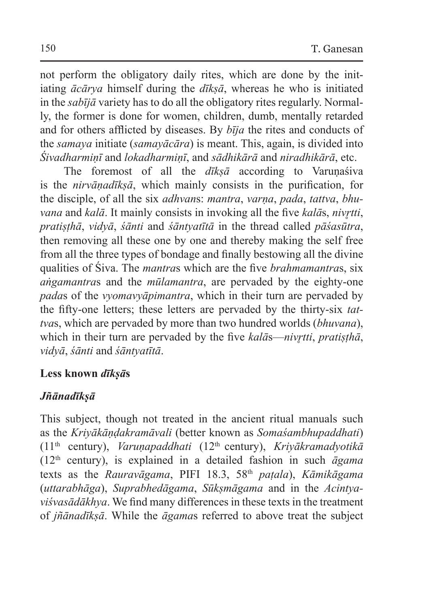not perform the obligatory daily rites, which are done by the initiating *ācārya* himself during the *dīkṣā*, whereas he who is initiated in the *sabījā* variety has to do all the obligatory rites regularly. Normally, the former is done for women, children, dumb, mentally retarded and for others afflicted by diseases. By *bīja* the rites and conducts of the *samaya* initiate (*samayācāra*) is meant. This, again, is divided into *Śivadharmiṇī* and *lokadharmiṇī*, and *sādhikārā* and *niradhikārā*, etc.

The foremost of all the *dīksā* according to Varunaśiva is the *nirvāṇadīkṣā*, which mainly consists in the purification, for the disciple, of all the six *adhvan*s: *mantra*, *varṇa*, *pada*, *tattva*, *bhuvana* and *kalā*. It mainly consists in invoking all the five *kalās*, *nivr*tti, *pratiṣṭhā*, *vidyā*, *śānti* and *śāntyatītā* in the thread called *pāśasūtra*, then removing all these one by one and thereby making the self free from all the three types of bondage and finally bestowing all the divine qualities of Śiva. The *mantra*s which are the five *brahmamantra*s, six *aṅgamantra*s and the *mūlamantra*, are pervaded by the eighty-one *pada*s of the *vyomavyāpimantra*, which in their turn are pervaded by the fifty-one letters; these letters are pervaded by the thirty-six *tattva*s, which are pervaded by more than two hundred worlds (*bhuvana*), which in their turn are pervaded by the five *kalā*s—*nivrtti*, *pratisthā*, *vidyā*, *śānti* and *śāntyatītā*.

#### **Less known** *dīkṣā***s**

### *Jñānadīkṣā*

This subject, though not treated in the ancient ritual manuals such as the *Kriyākāṇḍakramāvali* (better known as *Somaśambhupaddhati*) (11th century), *Varuṇapaddhati* (12th century), *Kriyākramadyotikā*  (12th century), is explained in a detailed fashion in such *āgama*  texts as the *Rauravāgama*, PIFI 18.3, 58th *paṭala*), *Kāmikāgama*  (*uttarabhāga*), *Suprabhedāgama*, *Sūkṣmāgama* and in the *Acintyaviśvasādākhya*. We find many differences in these texts in the treatment of *jñānadīkṣā*. While the *āgama*s referred to above treat the subject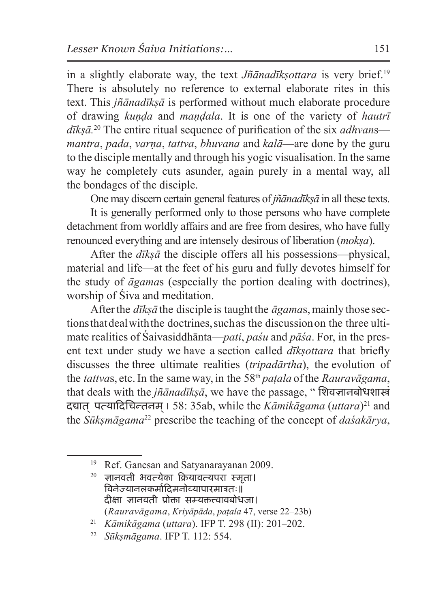in a slightly elaborate way, the text *Jñānadīkṣottara* is very brief.19 There is absolutely no reference to external elaborate rites in this text. This *jñānadīkṣā* is performed without much elaborate procedure of drawing *kuṇḍa* and *maṇḍala*. It is one of the variety of *hautrī dīkṣā.*20 The entire ritual sequence of purification of the six *adhvan*s *mantra*, *pada*, *varṇa*, *tattva*, *bhuvana* and *kalā*—are done by the guru to the disciple mentally and through his yogic visualisation. In the same way he completely cuts asunder, again purely in a mental way, all the bondages of the disciple.

One may discern certain general features of *jñānadīkṣā* in all these texts.

It is generally performed only to those persons who have complete detachment from worldly affairs and are free from desires, who have fully renounced everything and are intensely desirous of liberation (*mokṣa*).

After the *dīkṣā* the disciple offers all his possessions—physical, material and life—at the feet of his guru and fully devotes himself for the study of *āgama*s (especially the portion dealing with doctrines), worship of Śiva and meditation.

After the *dīkṣā* the disciple is taught the *āgama*s, mainly those sections that deal with the doctrines, such as the discussion on the three ultimate realities of Śaivasiddhānta—*pati*, *paśu* and *pāśa*. For, in the present text under study we have a section called *dīkṣottara* that briefly discusses the three ultimate realities (*tripadārtha*), the evolution of the *tattvas*, etc. In the same way, in the 58<sup>th</sup> *patala* of the *Rauravāgama*, that deals with the *jñānadīkṣā*, we have the passage, " शिवज्ञानबोधशास्त्रं दद्यात प् त्यादिचिन्तनम ।् 58: 35ab, while the *Kāmikāgama* (*uttara*)21 and the *Sūkṣmāgama*22 prescribe the teaching of the concept of *daśakārya*,

ज्ञानवती भवत्येका क्रियावत्यपरा स्मृता। विनेज्यानलकर्मादिमनोव्यापारमात्रतः॥ दीक्षा ज्ञानवती प्रोक्ता सम्यत्त्वावबोधजा। (*Rauravāgama*, *Kriyāpāda*, *paṭala* 47, verse 22–23b)

<sup>&</sup>lt;sup>19</sup> Ref. Ganesan and Satyanarayanan 2009.<br><sup>20</sup> जानवती भवन्येका कियावन्याप्य मुम्बा।

<sup>21</sup> *Kāmikāgama* (*uttara*). IFP T. 298 (II): 201–202. 22 *Sūkṣmāgama*. IFP T. 112: 554.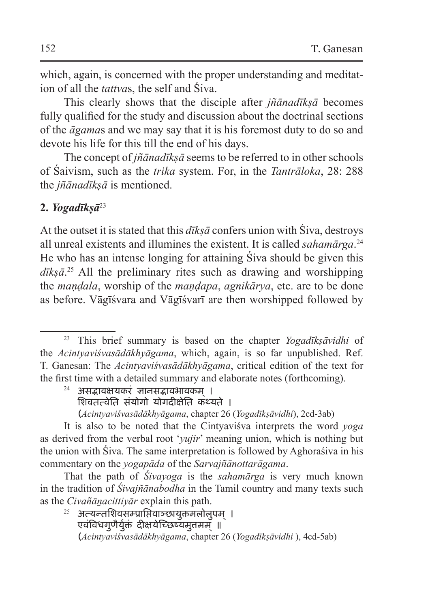which, again, is concerned with the proper understanding and meditation of all the *tattva*s, the self and Śiva.

This clearly shows that the disciple after *jñānadīkṣā* becomes fully qualified for the study and discussion about the doctrinal sections of the *āgama*s and we may say that it is his foremost duty to do so and devote his life for this till the end of his days.

The concept of *jñānadīkṣā* seems to be referred to in other schools of Śaivism, such as the *trika* system. For, in the *Tantrāloka*, 28: 288 the *jñānadīkṣā* is mentioned.

### **2.** *Yogadīkṣā*<sup>23</sup>

At the outset it is stated that this  $d\bar{\imath}$ *kṣā* confers union with Śiva, destroys all unreal existents and illumines the existent. It is called *sahamārga*. 24 He who has an intense longing for attaining Śiva should be given this *dīkṣā*. 25 All the preliminary rites such as drawing and worshipping the *maṇḍala*, worship of the *maṇḍapa*, *agnikārya*, etc. are to be done as before. Vāgīśvara and Vāgīśvarī are then worshipped followed by

- $24$  असद्भावक्षयकरं ज्ञानसद्भावभावकम ।
	- शिवतत्वेति संयोगो योगदीक्षेति कथ्यते ।
	- (*Acintyaviśvasādākhyāgama*, chapter 26 (*Yogadīkṣāvidhi*), 2cd-3ab)

It is also to be noted that the Cintyaviśva interprets the word *yoga* as derived from the verbal root '*yujir*' meaning union, which is nothing but the union with Śiva. The same interpretation is followed by Aghoraśiva in his commentary on the *yogapāda* of the *Sarvajñānottarāgama*.

That the path of *Śivayoga* is the *sahamārga* is very much known in the tradition of *Śivajñānabodha* in the Tamil country and many texts such as the *Civañāṉacittiyār* explain this path.

 $25$  अत्यन्तशिवसम्प्राप्तिवाञ्छायुक्तमलोलुपम । एवंविधगुणैर्युक्तं दीक्षयेच्छिष्यमुत्तमम् ॥ (*Acintyaviśvasādākhyāgama*, chapter 26 (*Yogadīkṣāvidhi* ), 4cd-5ab)

<sup>23</sup> This brief summary is based on the chapter *Yogadīkṣāvidhi* of the *Acintyaviśvasādākhyāgama*, which, again, is so far unpublished. Ref. T. Ganesan: The *Acintyaviśvasādākhyāgama*, critical edition of the text for the first time with a detailed summary and elaborate notes (forthcoming).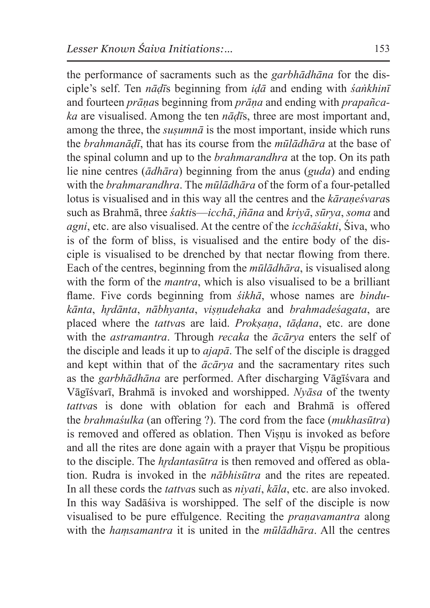the performance of sacraments such as the *garbhādhāna* for the disciple's self. Ten *nāḍī*s beginning from *iḍā* and ending with *śaṅkhinī* and fourteen *prāṇa*s beginning from *prāṇa* and ending with *prapañcaka* are visualised. Among the ten *nāḍī*s, three are most important and, among the three, the  $susum<sub>n</sub>ā$  is the most important, inside which runs the *brahmanāḍī*, that has its course from the *mūlādhāra* at the base of the spinal column and up to the *brahmarandhra* at the top. On its path lie nine centres (*ādhāra*) beginning from the anus (*guda*) and ending with the *brahmarandhra*. The *mūlādhāra* of the form of a four-petalled lotus is visualised and in this way all the centres and the *kāraṇeśvara*s such as Brahmā, three *śakti*s—*icchā*, *jñāna* and *kriyā*, *sūrya*, *soma* and *agni*, etc. are also visualised. At the centre of the *icchāśakti*, Śiva, who is of the form of bliss, is visualised and the entire body of the disciple is visualised to be drenched by that nectar flowing from there. Each of the centres, beginning from the *mūlādhāra*, is visualised along with the form of the *mantra*, which is also visualised to be a brilliant flame. Five cords beginning from *śikhā*, whose names are *bindukānta*, *hr̥dānta*, *nābhyanta*, *viṣṇudehaka* and *brahmadeśagata*, are placed where the *tattva*s are laid. *Prokṣaṇa*, *tāḍana*, etc. are done with the *astramantra*. Through *recaka* the *ācārya* enters the self of the disciple and leads it up to *ajapā*. The self of the disciple is dragged and kept within that of the *ācārya* and the sacramentary rites such as the *garbhādhāna* are performed. After discharging Vāgīśvara and Vāgīśvarī, Brahmā is invoked and worshipped. *Nyāsa* of the twenty *tattva*s is done with oblation for each and Brahmā is offered the *brahmaśulka* (an offering ?). The cord from the face (*mukhasūtra*) is removed and offered as oblation. Then Visnu is invoked as before and all the rites are done again with a prayer that Viṣṇu be propitious to the disciple. The *hrdantasūtra* is then removed and offered as oblation. Rudra is invoked in the *nābhisūtra* and the rites are repeated. In all these cords the *tattva*s such as *niyati*, *kāla*, etc. are also invoked. In this way Sadāśiva is worshipped. The self of the disciple is now visualised to be pure effulgence. Reciting the *praṇavamantra* along with the *haṃsamantra* it is united in the *mūlādhāra*. All the centres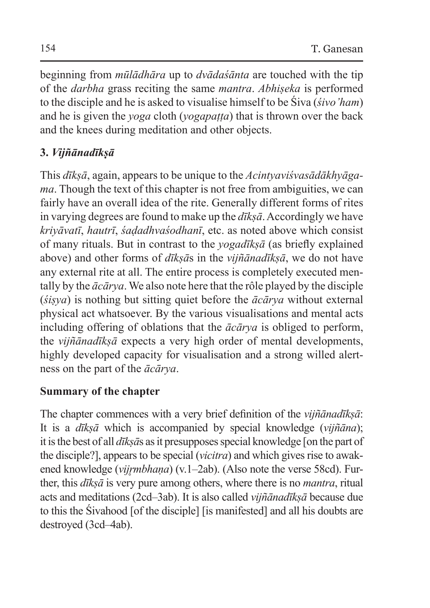beginning from *mūlādhāra* up to *dvādaśānta* are touched with the tip of the *darbha* grass reciting the same *mantra*. *Abhiṣeka* is performed to the disciple and he is asked to visualise himself to be Śiva (*śivo'ham*) and he is given the *yoga* cloth (*yogapaṭṭa*) that is thrown over the back and the knees during meditation and other objects.

# **3.** *Vijñānadīkṣā*

This *dīkṣā*, again, appears to be unique to the *Acintyaviśvasādākhyāgama*. Though the text of this chapter is not free from ambiguities, we can fairly have an overall idea of the rite. Generally different forms of rites in varying degrees are found to make up the *dīkṣā*. Accordingly we have *kriyāvatī*, *hautrī*, *śaḍadhvaśodhanī*, etc. as noted above which consist of many rituals. But in contrast to the *yogadīkṣā* (as briefly explained above) and other forms of *dīkṣā*s in the *vijñānadīkṣā*, we do not have any external rite at all. The entire process is completely executed mentally by the *ācārya*. We also note here that the rôle played by the disciple (*śiṣya*) is nothing but sitting quiet before the *ācārya* without external physical act whatsoever. By the various visualisations and mental acts including offering of oblations that the *ācārya* is obliged to perform, the *vijñānadīkṣā* expects a very high order of mental developments, highly developed capacity for visualisation and a strong willed alertness on the part of the *ācārya*.

## **Summary of the chapter**

The chapter commences with a very brief definition of the *vijñānadīkṣā*: It is a *dīkṣā* which is accompanied by special knowledge (*vijñāna*); it is the best of all *dīksās* as it presupposes special knowledge [on the part of the disciple?], appears to be special (*vicitra*) and which gives rise to awakened knowledge (*vijrmbhaṇa*) (v.1–2ab). (Also note the verse 58cd). Further, this *dīkṣā* is very pure among others, where there is no *mantra*, ritual acts and meditations (2cd–3ab). It is also called *vijñānadīkṣā* because due to this the Śivahood [of the disciple] [is manifested] and all his doubts are destroyed (3cd–4ab).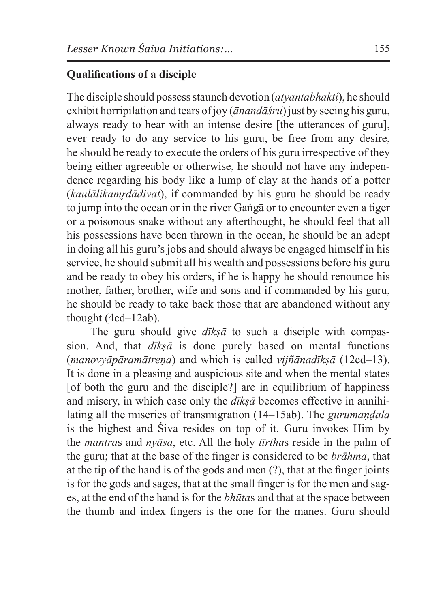### **Qualifications of a disciple**

The disciple should possess staunch devotion (*atyantabhakti*), he should exhibit horripilation and tears of joy (*ānandāśru*) just by seeing his guru, always ready to hear with an intense desire [the utterances of guru], ever ready to do any service to his guru, be free from any desire, he should be ready to execute the orders of his guru irrespective of they being either agreeable or otherwise, he should not have any independence regarding his body like a lump of clay at the hands of a potter (*kaulālikamrdādivat*), if commanded by his guru he should be ready to jump into the ocean or in the river Gaṅgā or to encounter even a tiger or a poisonous snake without any afterthought, he should feel that all his possessions have been thrown in the ocean, he should be an adept in doing all his guru's jobs and should always be engaged himself in his service, he should submit all his wealth and possessions before his guru and be ready to obey his orders, if he is happy he should renounce his mother, father, brother, wife and sons and if commanded by his guru, he should be ready to take back those that are abandoned without any thought (4cd–12ab).

The guru should give *dīksā* to such a disciple with compassion. And, that *dīkṣā* is done purely based on mental functions (*manovyāpāramātreṇa*) and which is called *vijñānadīkṣā* (12cd–13). It is done in a pleasing and auspicious site and when the mental states [of both the guru and the disciple?] are in equilibrium of happiness and misery, in which case only the *dīkṣā* becomes effective in annihilating all the miseries of transmigration (14–15ab). The *gurumaṇḍala* is the highest and Śiva resides on top of it. Guru invokes Him by the *mantra*s and *nyāsa*, etc. All the holy *tīrtha*s reside in the palm of the guru; that at the base of the finger is considered to be *brāhma*, that at the tip of the hand is of the gods and men (?), that at the finger joints is for the gods and sages, that at the small finger is for the men and sages, at the end of the hand is for the *bhūta*s and that at the space between the thumb and index fingers is the one for the manes. Guru should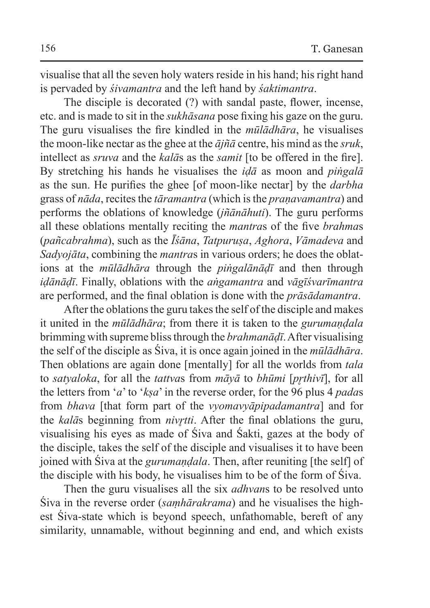visualise that all the seven holy waters reside in his hand; his right hand is pervaded by *śivamantra* and the left hand by *śaktimantra*.

The disciple is decorated (?) with sandal paste, flower, incense, etc. and is made to sit in the *sukhāsana* pose fixing his gaze on the guru. The guru visualises the fire kindled in the *mūlādhāra*, he visualises the moon-like nectar asthe ghee at the *ājñā* centre, his mind asthe *sruk*, intellect as *sruva* and the *kalā*s as the *samit* [to be offered in the fire]. By stretching his hands he visualises the *iḍā* as moon and *piṅgalā* as the sun. He purifies the ghee [of moon-like nectar] by the *darbha* grass of *nāda*, recites the *tāramantra* (which isthe *praṇavamantra*) and performs the oblations of knowledge (*jñānāhuti*). The guru performs all these oblations mentally reciting the *mantra*s of the five *brahma*s (*pañcabrahma*), such as the *Īśāna*, *Tatpuruṣa*, *Aghora*, *Vāmadeva* and *Sadyojāta*, combining the *mantra*s in various orders; he does the oblations at the *mūlādhāra* through the *piṅgalānāḍī* and then through *iḍānāḍī*. Finally, oblations with the *aṅgamantra* and *vāgīśvarīmantra* are performed, and the final oblation is done with the *prāsādamantra*.

After the oblations the guru takes the self of the disciple and makes it united in the *mūlādhāra*; from there it is taken to the *gurumaṇḍala* brimming with supreme bliss through the *brahmanāḍī*. After visualising the self of the disciple as Śiva, it is once again joined in the *mūlādhāra*. Then oblations are again done [mentally] for all the worlds from *tala* to *satyaloka*, for all the *tattva*s from *māyā* to *bhūmi* [*pr̥thivī*], for all the letters from '*a*' to '*kṣa*' in the reverse order, for the 96 plus 4 *pada*s from *bhava* [that form part of the *vyomavyāpipadamantra*] and for the *kalā*s beginning from *nivr̥tti*. After the final oblations the guru, visualising his eyes as made of Śiva and Śakti, gazes at the body of the disciple, takes the self of the disciple and visualises it to have been joined with Śiva at the *gurumaṇḍala*. Then, after reuniting [the self] of the disciple with his body, he visualises him to be of the form of Śiva.

Then the guru visualises all the six *adhvan*s to be resolved unto Śiva in the reverse order (*saṃhārakrama*) and he visualises the highest Śiva-state which is beyond speech, unfathomable, bereft of any similarity, unnamable, without beginning and end, and which exists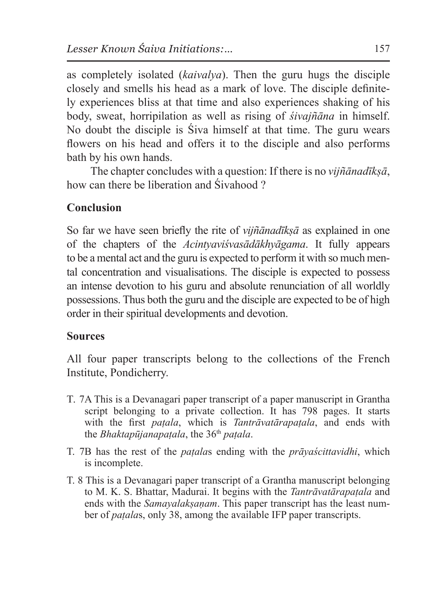as completely isolated (*kaivalya*). Then the guru hugs the disciple closely and smells his head as a mark of love. The disciple definitely experiences bliss at that time and also experiences shaking of his body, sweat, horripilation as well as rising of *śivajñāna* in himself. No doubt the disciple is Śiva himself at that time. The guru wears flowers on his head and offers it to the disciple and also performs bath by his own hands.

The chapter concludes with a question: If there is no *vijñānadīkṣā*, how can there be liberation and Śivahood ?

### **Conclusion**

So far we have seen briefly the rite of *vijñānadīkṣā* as explained in one of the chapters of the *Acintyaviśvasādākhyāgama*. It fully appears to be a mental act and the guru is expected to perform it with so much mental concentration and visualisations. The disciple is expected to possess an intense devotion to his guru and absolute renunciation of all worldly possessions. Thus both the guru and the disciple are expected to be of high order in their spiritual developments and devotion.

#### **Sources**

All four paper transcripts belong to the collections of the French Institute, Pondicherry.

- T. 7A This is a Devanagari paper transcript of a paper manuscript in Grantha script belonging to a private collection. It has 798 pages. It starts with the first *paṭala*, which is *Tantrāvatārapaṭala*, and ends with the *Bhaktapūjanapaṭala*, the 36th *paṭala*.
- T. 7B has the rest of the *paṭala*s ending with the *prāyaścittavidhi*, which is incomplete.
- T. 8 This is a Devanagari paper transcript of a Grantha manuscript belonging to M. K. S. Bhattar, Madurai. It begins with the *Tantrāvatārapaṭala* and ends with the *Samayalakṣaṇam*. This paper transcript has the least number of *paṭala*s, only 38, among the available IFP paper transcripts.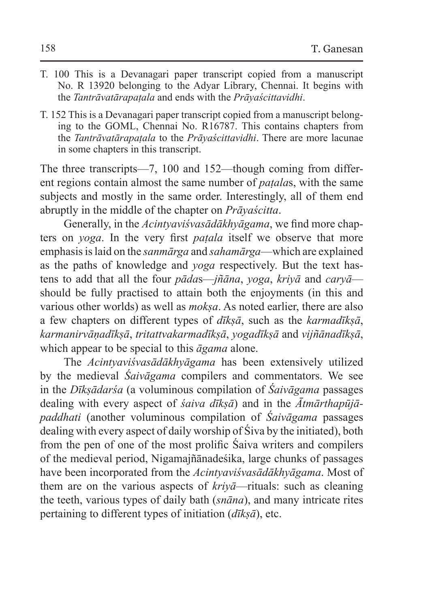- T. 100 This is a Devanagari paper transcript copied from a manuscript No. R 13920 belonging to the Adyar Library, Chennai. It begins with the *Tantrāvatārapaṭala* and ends with the *Prāyaścittavidhi*.
- T. 152 This is a Devanagari paper transcript copied from a manuscript belonging to the GOML, Chennai No. R16787. This contains chapters from the *Tantrāvatārapaṭala* to the *Prāyaścittavidhi*. There are more lacunae in some chapters in this transcript.

The three transcripts—7, 100 and 152—though coming from different regions contain almost the same number of *paṭala*s, with the same subjects and mostly in the same order. Interestingly, all of them end abruptly in the middle of the chapter on *Prāyaścitta*.

Generally, in the *Acintyaviśvasādākhyāgama*, we find more chapters on *yoga*. In the very first *paṭala* itself we observe that more emphasis islaid on the *sanmārga* and *sahamārga*—which are explained as the paths of knowledge and *yoga* respectively. But the text hastens to add that all the four *pāda*s—*jñāna*, *yoga*, *kriyā* and *caryā* should be fully practised to attain both the enjoyments (in this and various other worlds) as well as *mokṣa*. As noted earlier, there are also a few chapters on different types of *dīkṣā*, such as the *karmadīkṣā*, *karmanirvāṇadīkṣā*, *tritattvakarmadīkṣā*, *yogadīkṣā* and *vijñānadīkṣā*, which appear to be special to this *āgama* alone.

The *Acintyaviśvasādākhyāgama* has been extensively utilized by the medieval *Śaivāgama* compilers and commentators. We see in the *Dīkṣādarśa* (a voluminous compilation of *Śaivāgama* passages dealing with every aspect of *śaiva dīkṣā*) and in the *Ātmārthapūjāpaddhati* (another voluminous compilation of *Śaivāgama* passages dealing with every aspect of daily worship of Śiva by the initiated), both from the pen of one of the most prolific Śaiva writers and compilers of the medieval period, Nigamajñānadeśika, large chunks of passages have been incorporated from the *Acintyaviśvasādākhyāgama*. Most of them are on the various aspects of *kriyā*—rituals: such as cleaning the teeth, various types of daily bath (*snāna*), and many intricate rites pertaining to different types of initiation (*dīkṣā*), etc.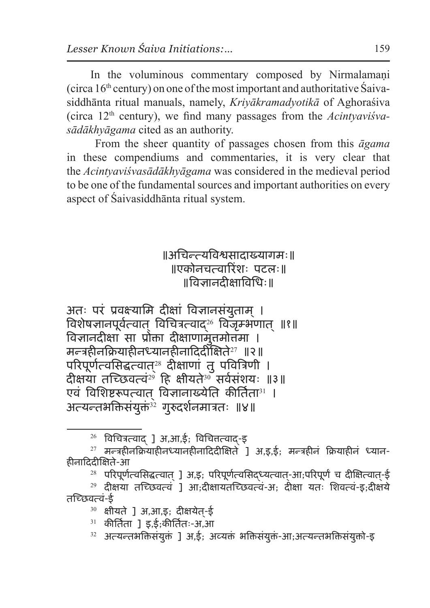In the voluminous commentary composed by Nirmalamaṇi (circa  $16<sup>th</sup>$  century) on one of the most important and authoritative Saivasiddhānta ritual manuals, namely, *Kriyākramadyotikā* of Aghoraśiva (circa 12th century), we find many passages from the *Acintyaviśvasādākhyāgama* cited as an authority.

 From the sheer quantity of passages chosen from this *āgama*  in these compendiums and commentaries, it is very clear that the *Acintyaviśvasādākhyāgama* was considered in the medieval period to be one of the fundamental sources and important authorities on every aspect of Śaivasiddhānta ritual system.

## ॥अचिन्त्यविश्वसादाख्यागमः॥ ॥एकोनचत्वारिंशः पटलः॥ ॥विज्ञानदीक्षाविधिः॥

अतः परं प्रवक्ष्यामि दीक्षां विज्ञानसंयुताम ।् ्.<br>विशेषज्ञानपूर्वत्वात् विचित्रत्वाद्<sup>26</sup> विजृम्भणात् ॥१॥ विज्ञानदीक्षा सा प्रोक्ता दीक्षाणामेतमोत्तमा । मन्त्रहीनक्रियाहीनध्यानहीनादिदीक्षिते<sup>27</sup> ॥२॥ परिपूर्णत्वसिद्धत्वात् ै दीक्षाणां तु पवित्रिणी । दीक्षया तच्छिवत्वं<sup>29े</sup> हि क्षीयते<sup>30</sup> सर्वसंशयः ॥३॥ एवं विशिष्टरूपत्वात विज्ञानाख्येति कीर्तिता $^{31}$  । अत्यन्तभक्तिसंयुक्तं $^{\dot{3}{\dot{2}}}$  गुरुदर्शनमात्रतः ॥४॥

 $26$  विचित्रत्वाद् ] अ,आ,ई; विचित्तत्वाद-इ

 $^{27}$  मन्त्रहीनक्रियाहीनध्यानहीनादिदीक्षिते 1 अ.ड.ई: मन्त्रहीनं क्रियाहीनं ध्यान-हीनादिदीक्षिते-आ

 $28$  परिपूर्णत्वसिद्धत्वात् ] अ,इ; परिपूर्णत्वसिद्ध्यत्वात्-आ;परिपूर्णं च दीक्षित्वात्-ई

 $29$  दीक्षया तच्छिवत्वं ] आ;दीक्षायतच्छिवत्वं-अ; दीक्षा यतः शिवत्वं-इ;दीक्षये तच्छिवत्वं-ई

 $30$  क्षीयते ] अ,आ,इ; दीक्षयेत-ई

 $31$  कीर्तिता 1 इ.ई:कीर्तितः-अ.आ

 $32$  अत्यन्तभक्तिसंयुक्तं ] अ.ई: अव्यक्तं भक्तिसंयुक्तं-आ;अत्यन्तभक्तिसंयुक्तो-इ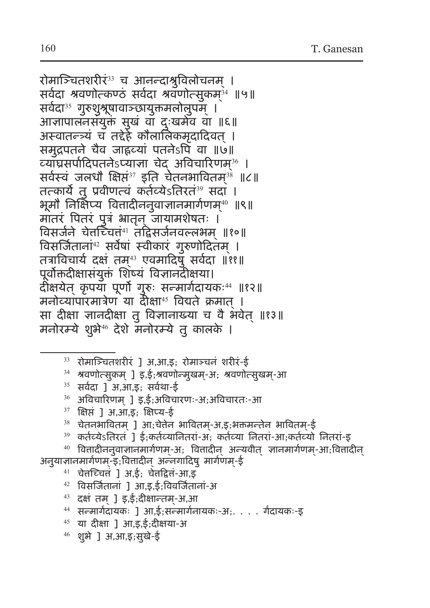रोमाञ्चितशरीर<sup>33</sup> च आनन्दाश्रुविलोचनम् । सर्वेदा श्रवणोत्कण्ठं सर्वेदा श्रवणोत्सुकम् $^{\scriptscriptstyle 34}$  ॥५॥ सर्वदा<sup>35</sup> गुरुशुश्रूषावाञ्छायुक्तमलोलुपम् । आज्ञापालनसंयुक्तं सुखं वा दुःखमेव वा ॥६॥ अस्वातन्त्र्यं च तद्देहे कौलालिकमृदादिवत् । समुद्रपतने चैव जाह्नव्यां पतनेऽपि वा ॥७॥ व्याघ्रसर्पादिपतनेऽप्याज्ञा चेद् अविचारिणम्<sup>36</sup> । सर्वस्व जलधौ क्षिप्त<sup>37</sup> इति चेतनभावितम्<sup>38</sup> ॥८॥ तत्कार्ये तु प्रवीणत्वं कर्तव्येऽतिरतं <sup>39</sup> सदा । भूमौ निक्षिप्य वित्तादीननुवाज्ञानमार्गणम्<sup>40</sup> ॥९॥ मातरं पितरं पुत्रं भ्रातृन् जायामशेषतः । विसर्जने चेतच्चित्त्<sup>41</sup> तद्विसर्जनवल्लभम् ॥१०॥ विसर्जिताना<sup>42</sup> सर्वेषा स्वीकार् गुरुणोदितम् । तत्राविचार्य दक्ष तम्<sup>43</sup> एवमादिषु सर्वदा ॥११॥ पूर्वोक्तदीक्षासंयुक्तं शिष्यं विज्ञानदीक्षया। दीक्षयेत् कृपया पूर्णो गुरुः सन्मार्गदायकः<sup>44</sup> ॥१२॥ मनोव्यापारमात्रेण या दीक्षा<sup>45</sup> विद्यते क्रमात् । सा दीक्षा ज्ञानदीक्षा तु विज्ञानाख्या च वै भवेत् ॥१३॥ मनोरम्ये शुभे<sup>46</sup> देशे मनोरम्ये तु कालके ।

- $33$  रोमाञ्चितशरीरं ] अ,आ,इ; रोमाञ्चनं शरीरं-ई
- $34$  श्रवणोत्सुकम् ] इ,ई;श्रवणोन्मुखम्-अ; श्रवणोत्सुखम्-आ
- $35$  सर्वदा ] अ,आ,इ; सर्वथा-ई
- $36$  अविचारिणम् ] इ,ई;अविचारणः-अ;अविचारतः-आ
- $37$  क्षिप्तं ] अ,आ,इ; क्षिप्य-ई
- $38$  चेतनभावितम् ] आ;चेत्तेन भावितम्-अ,इ;भक्तमन्तेन भावितम्-ई
- <sup>39</sup> कर्तव्येऽतिरतं ] ई;कर्तव्यानितरां-अ; कर्तव्या नितरां-आ;कर्तव्यो नितरां-इ
- $40$  वित्तादीनन् वाज्ञानमार्गणम्-अ; वित्तादीन् अन्यवीत् ज्ञानमार्गणम्-आ; वित्तादीन् अनुयाज्ञानमार्गणम्-इ;वित्तादीन् अन्नगादिषु मार्गणम्-ई
	- $41$  चेतच्चितं ] अ,ई; चेतद्वितं-आ,इ
	-
	- $42$  विसर्जितानां ] आ,इ,ई;विवर्जितानां-अ
	- $43$  दक्षं तम् ] इ,ई;दीक्षान्तम्-अ,आ
	- <sup>44</sup> सन्मार्गदायकः ] आ,ई;सन्मार्गनायकः-अ;. . . . र्गदायकः-इ
	- $45$  या दीक्षा ] आ,इ,ई;दीक्षया-अ
	- $46$  शुभे ] अ,आ,इ;सुखे-ई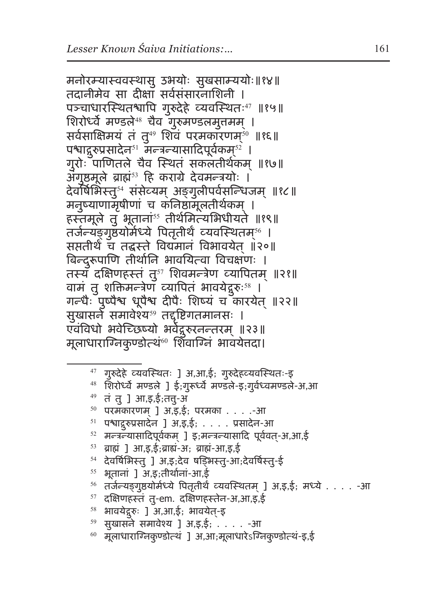मनोरम्यास्ववस्थासु उभयोः सुखसाम्ययोः॥१४॥ तदानीमेव सा दीक्षा सर्वसंसारनाशिनी । पञ्चाधारस्थितश्चापि गुरुदेहे व्यवस्थितः<sup>47</sup> ॥१५॥ शिरोर्ध्वे मण्डले $48$  चैव गुरुमण्डलमुत्तमम् । सर्वसाक्षिमयं तं तु<sup>49</sup> शिवं परमकारणम्<sup>50</sup> ॥१६॥ पश्चाद्गुरुप्रसादेन्<sup>s।</sup> मन्त्रन्यासादिपूर्वकम्<sup>s2</sup> । गुरोः पाणितले चैव स्थितं सकलतीर्थकम् ॥१७॥ अगुष्ठमूले ब्राह्म<sup>53</sup> हि कराग्रे देवमन्त्रयोः । देवर्षिभिस्तु<sup>54</sup> संसेव्यम् अङ्गुलीपर्वसन्धिजम् ॥१८॥ मनुष्याणामृषीणां च कनिष्ठामूलतीर्थकम् । हस्तमूले तु भूताना<sup>55</sup> तीर्थमित्यभिधीयते ॥१९॥ तर्जन्यङ्गुष्ठयोर्मध्ये पितृतीर्थं व्यवस्थितम्® । सप्ततीर्थं च तद्धस्ते विद्यमानं विभावयेत ॥२०॥ बिन्दुरूपाणि तीर्थानि भावयित्वा विचक्षणः । तस्य दक्षिणहस्तं तु<sup>57</sup> शिवमन्त्रेण व्यापितम् ॥२१॥ वामं तु शक्तिमन्त्रेण व्यापितं भावयेद्गुरुः<sup>58</sup> । गन्धैः पुष्पैश्व धूपैश्व दीपैः शिष्यं च कारयेत् ॥२२॥ सुखासर्ने समावेश्य<sup>59</sup> तद्दृष्टिगतमानसः । एवंविधो भवेच्छिष्यो भर्वेद्गुरुरनन्तरम् ॥२३॥ मूलाधाराग्निकुण्डोत्थं<sup>60</sup> शिवाग्निं भावयेतदा।

- <sup>47</sup> गुरुदेहे व्यवस्थितः ] अ,आ,ई; गुरुदेहव्यवस्थितः-इ
- <sup>48</sup> शिरोर्ध्वे मण्डले ] ई;गुरूर्ध्वे मण्डले-इ;गुर्वध्वमण्डले-अ,आ
- $49$  तं तु ] आ,इ,ई;ततु-अ
- $50$  परमकारणम् ] अ,इ,ई; परमका  $\dots$  .-आ
- $51$  पश्चाद्गुरुप्रसादेन ] अ,इ,ई; . . . . प्रसादेन-आ
- $52$  मन्त्रन्यासादिपूर्वकम् ] इ; मन्त्रन्यासादि पूर्ववत्-अ,आ,ई
- $53$  ब्राह्मं ] आ,इ,ई;ब्राह्यं-अ; ब्राह्यं-आ,इ,ई
- <sup>54</sup> देवर्षिभिस्तु ] अ,इ;देव षड्भिस्तु-आ;देवर्षिस्तु-ई
- $55$  भूतानां ] अ,इ;तीर्थानां-आ,ई
- $^{56}$  तर्जन्यङ्गुष्ठयोर्मध्ये पितृतीर्थं व्यवस्थितम् ] अ,इ,ई; मध्ये . . . . -आ
- $57$  दक्षिणहस्तं तु-em. दक्षिणहस्तेन-अ,आ,इ,ई
- <sup>58</sup> भावयेद्गुरुः ] अ,आ,ई; भावयेत-इ्
- $59$  सुखासने समावेश्य ] अ,इ,ई; . . . . -आ
- $^{60}$  मूलाधाराग्निकुण्डोत्थं ] अ,आ;मूलाधारेऽग्निकुण्डोत्थं-इ,ई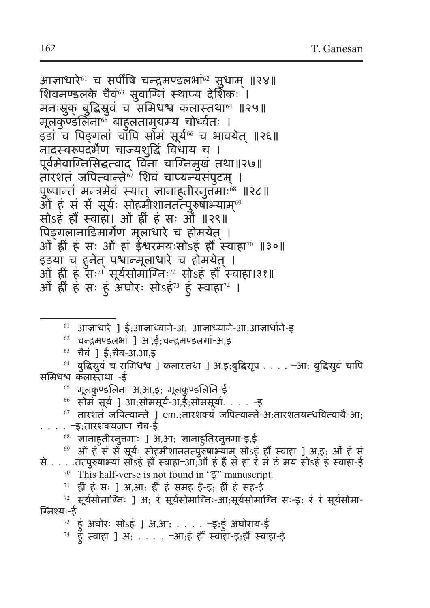आज्ञाधारे<sup>61</sup> च सपींषि चन्द्रमण्डलभा<sup>62</sup> सुधाम् ॥२४॥ शिवमण्डलके चैवं<sup>63</sup> स्रुवाग्निं स्थाप्य देशिकः । मनःस्रुक् बुद्धिस्रुवं च समिधश्च कलास्तथा" ॥२५॥ मूलकुण्डलिना<sup>65</sup>्बाहुलतामुयम्य चोर्ध्वतः । इडां च पिङ्गलां चाॅपि सोॅमं सूर्य<sup>66</sup> च भावयेत ॥२६॥ नादस्वरूपदर्भेण चाज्यशुद्धिं विधाय च । पूर्वमेवाग्निसिद्धत्वाद् विना चाग्निमुखं तथा॥२७॥ तारशतं जपित्वान्ते<sup>67</sup> शिवं चाप्यन्यसंपुटम । पुष्पान्तं मन्त्रमेवं स्यात् ज्ञानाहुतीरनुत्तमाः® ॥२८॥ ओ ह स से सूर्यः सोहमीशानतत्पुरुषाभ्याम्® सोऽहं हौं स्वाहा। ओं ह्रीं हं सः ओं ॥२९॥ पिङगलानाडिमार्गेण मूलाधारे च होमयेत । ओं ह्रीं हं सः ओं हां ईश्वरमयःसोऽहं हौं स्वाहा<sup>70</sup> ॥३०॥ इडया च हुनेत् पश्चान्मूलाधारे च होमयेत् । ओं हीं हं सः<sup>71</sup> सूर्यसोमाग्निः<sup>72</sup> सोऽहं हौं स्वाहा।३१॥ ओ ह्री ह सः हु अघोरः सोऽह<sup>73</sup> हु स्वाहा<sup>74</sup> ।

 $61$  आज्ञाधारे ] ई;आज्ञाध्वाने-अ; आज्ञाध्याने-आ;आज्ञार्धाने-इ

 $62$  चन्द्रमण्डलभां ] आ.ई:चन्द्रमण्डलगां-अ.इ

<sup>63</sup> चैवं ] ई;चैव-अ,आ,इ

<sup>64</sup> बुद्धिस्रुवं च समिधश्च ] कलास्तथा ] अ,इ;बुद्धिसृप . . . . –आ; बुद्धिस्रुवं चापि समिधश्च कलास्तथा -ई

 $65$  मूलकुण्डलिना अ,आ,इ; मूलकुण्डलिनि-ई

<sup>66</sup> सोमं सूर्यं ] आ;सोमसूर्यं-अ,ई;सोमसूर्या. . . . -इ

#### $67$  तारशतं जपित्वान्ते ] em.;तारशक्यं जपित्वान्ते-अ;तारशतयन्धवित्वायै-आ; . . . . –इ;तारशक्यजपा चैव-ई

 $\,^{\rm 68}$  ज्ञानाहुतीरनुतमाः ] अ,आ; ज्ञानाहुतिरनुतमा-इ,ई

 $^{69}$  ओं हं सं से सूर्यः सोहमीशानतत्पुरुषाभ्याम् सोऽहं हौं स्वाहा ] अ,इ; ओं हं सं से . . . .तत्पुरुषाभ्यां सोऽहं हौं स्वाहा–आ;ओं हं हैं सं हां रं मं ठं मय सोऽहं हं स्वाहा-ई <sup>70</sup> This half-verse is not found in "ड़" manuscript.<br><sup>71</sup> ह्रीं हं सः ] अ,आ; ह्रीं हं समह ईं-इ; ह्रीं हं सह-ई

 $72$  सूर्यसोमाग्निः ] अ; रं सूर्यसोमाग्निः-आ;सूर्यसोमाग्नि सः-इ; रं रं सूर्यसोमा-ग्निश्यः-ई

 $73$  हुं अघोरः सोऽहं ] अ,आ; . . . . - इ;हुं अघोराय-ई

 $74$  हुँ स्वाहा ] अ; . . . . -आ;हं हौं स्वाहा-इ;हौं स्वाहा-ई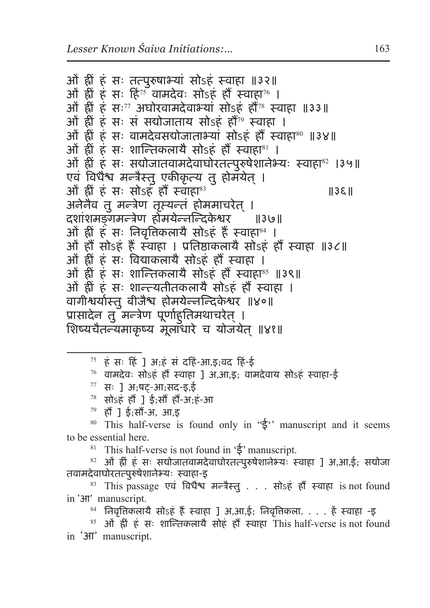```
ओं ह्रीं हं सः तत्पुरुषाभ्यां सोऽहं स्वाहा ॥३२॥
ओं ह्रीं हं सः हिं<sup>75</sup> वामदेवः सोऽहं हौं स्वाहा<sup>76</sup> ।
ओं ह्रीं हं सः<sup>77</sup> अघोरवामदेवाभ्यां सोऽहं हौं<sup>78</sup> स्वाहा ॥३३॥
ओं ह्रीं हं सः सं सद्योजाताय सोऽहं हौं<sup>79</sup> स्वाहा ।
ओं ह्रीं हं सः वामदेवसद्योजाताभ्यां सोऽहं हौं स्वाहा<sup>80</sup> ॥३४॥
ओं ह्रीं हं सः शान्तिकलायै सोऽहं हौं स्वाहा^{81} ।
ओं ह्रीं हं सः सद्योजातवामदेवाघोरतत्पुरुषेशानेभ्यः स्वाहा<sup>82</sup> ।३५॥
एवं विधैश्च मन्त्रैस्तु एकीकृत्य तु होमयेत ।्
ओं ह्रीं हं सः सोऽहं हौं स्वाहा<sup>83</sup>                           ॥३६॥
अनेनैव तु मन्त्रेण तृस्यन्तं होममाचरेत् ।
दशांशमङ्गमन्त्रेण होमयेन्नन्दिके श्वर ॥३७॥
ओं ह्रीं हं सः निवत्तिकलायै सोऽहं हैं स्वाहा<sup>84</sup> ।
ओं हौं सोऽहं हैं स्वाहा । प्रतिष्ठाकलायै सोऽहं हौं स्वाहा ॥३८॥
ओं ह्रीं हं सः विद्याकलायै सोऽहं हौं स्वाहा ।
ओं ह्रीं हं सः शान्तिकलायै सोऽहं हौं स्वाहा^{85} ॥३९॥
ओं ह्रीं हं सः शान्त्यतीतकलायै सोऽहं हौं स्वाहा ।
वागीश्वर्यास्तुबीजैश्च होमयेन्नन्दिके श्वर ॥४०॥
प्रासादेन तु मन्त्रेण पूर्णाहुतिमथाचरेत् ।
शिष्यचैतन्यमाकृष्य मूलाँधारे च योजयेत ॥४१॥
```
 $75$  हं सः हिं ] अ:हं सं दहिं-आ.इ:वद हिं-ई

 $76$  वामदेवः सोऽहं हौं स्वाहा ] अ,आ,इ; वामदेवाय सोऽहं स्वाहा-ई

 $77$  सः ] अ;षट्-आ;सद-इ,ई

 $78$  सोऽहं हौं ] ई;सौं हौं-अ;हं-आ

<sup>79</sup> हौं ] ई;सौं-अ, आ,इ

80 This half-verse is found only in " $\xi$ " manuscript and it seems to be essential here.

<sup>81</sup> This half-verse is not found in  $\mathfrak{F}^{\prime}$  manuscript.

 $82$  ओं ह्रीं हं सः सद्योजातवामदेवाघोरतत्पुरुषेशानेभ्यः स्वाहा ] अ,आ,ई; सद्योजा तवामदेवाघोरतत्पुरुषेशानेभ्यः स्वाहा-इ

<sup>83</sup> This passage एवं विधैश्च मन्त्रैस्तु . . . सोऽहं हौं स्वाहा is not found in 'आ' manuscript.

 $84$  निवृत्तिकलायै सोऽहं हैं स्वाहा ] अ,आ,ई; निवृत्तिकला. . . . हैं स्वाहा -इ

<sup>85</sup> ओं ह्रीं हं सः शान्तिकलायै सोहं हौं स्वाहा This half-verse is not found in 'आ' manuscript.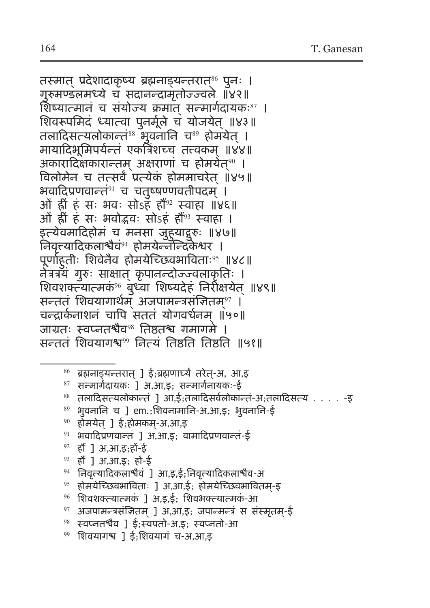तस्मात् प्रदेशादाकृष्य ब्रह्मनाड्यन्तरात्<sup>‰</sup> पुनः । गुरुमण्डलमध्ये च सदानन्दामृतोज्ज्वले ॥४२॥ शिष्यात्मानं च संयोज्यं क्रमात् सन्मार्गदायकः<sup>87</sup> । शिवरूपमिदं ध्यात्वा पुनर्मूले च योजयेत् ॥४३॥ तलादिसत्यलोकान्तं<sup>88</sup> भुवनानि च<sup>89</sup> होमयेत् । मायादिभूमिपर्यन्तं एकत्रिंशच्च तत्त्वकम् ॥४४॥ अकारादिक्षकारान्तम् अक्षराणां च होमयेत्<sup>‰</sup> । विलोमेन च तत्सर्वं प्रत्येकं होममाचरेत ॥४५॥ भवादिप्रणवान्तं<sup>91</sup> च चतुष्षण्णवतीपदम् । ओं ह्रीं हं सः भवः सोऽहं हौं<sup>92</sup> स्वाहा ॥४६॥ ओं ह्रीं हं सः भवोद्भवः सोऽहं हौं<sup>93</sup> स्वाहा । इत्येवमादिहोमं च मनसा जुहु याद्गुरुः ॥४७॥ निवृत्त्यादिकलाश्चैवं<sup>94</sup> होमयेन्नॅन्दिकेश्वर । पूर्णाहु तीः शिवेनैव होमयेच्छिवभाविताः<sup>95</sup> ॥४८॥ नेत्रत्रयं गुरुः साक्षात् कृपानन्दोज्ज्वलाकृतिः । शिवशक्त्यात्मकं $^{\circ}$  बुध्वा शिष्यदेहं निरीक्षयेत् ॥४९॥ सन्तत् शिवयागार्थम् अजपामन्त्रसन्तितम्<sup>97</sup> । चन्द्रार्कनाशनं चापि सततं योगवर्धनम ॥५०॥ जाग्रतः स्वप्नतश्चैव<sup>98</sup> तिष्ठतश्च गमागमे । सन्ततं शिवयागश्व<sup>99</sup> नित्यं तिष्ठति तिष्ठति ॥५१॥

- $86$  ब्रह्मनाड्यन्तरात् ] ई;ब्रह्मणार्घ्यं तरेत्-अ, आ,इ
- $87$  सन्मार्गदायकः ] अ,आ,इ; सन्मार्गनायकः-ई
- $88$  तलादिसत्यलोकान्तं ] आ,ई;तलादिसर्वलोकान्तं-अ;तलादिसत्य . . . . -इ
- $89$  भुवनानि च ] em.;शिवनामानि-अ,आ,इ; भुवनानि-ई
- $90$  होमयेत् ] ई;होमकम्-अ,आ,इ
- $91$  भवादिप्रणवान्तं ] अ,आ,इ; वामादिप्रणवान्तं-ई
- <sup>92</sup> हौं ] अ,आ,इ;हों-ई
- <sup>93</sup> हौं ] अ,आ,इ; हों-ई
- <sup>94</sup> निवृत्त्यादिकलाश्चैवं ] आ,इ,ई;निवृत्त्यादिकलाश्चैव-अ
- $95$  होमयेच्छिवभाविताः ] अ,आ,ई; होमयेच्छिवभावितम-इ
- $96$  शिवशक्त्यात्मकं ] अ,इ,ई; शिवभक्त्यात्मकं-आ
- $97$  अजपामन्त्रसंजितम् ] अ,आ,इ; जपान्मन्त्रं स संस्मृतम्-ई
- $98$  स्वप्नतश्चैव ] ई;स्वपतो-अ,इ; स्वप्नतो-आ
- <sup>99</sup> शिवयागश्च ] ई;शिवयागं च-अ,आ,इ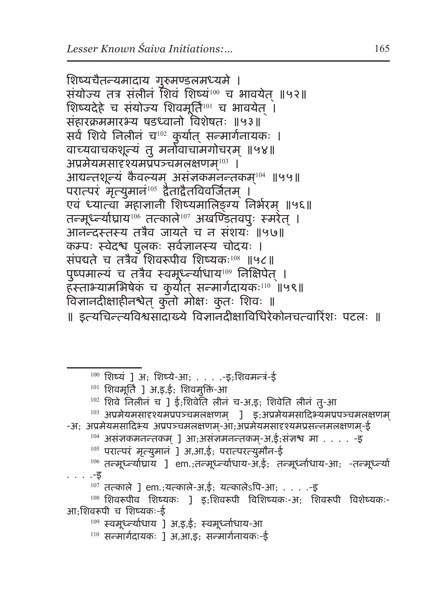शिष्यचैतन्यमादाय गुरुमण्डलमध्यमे । संयोज्य तत्र संलीनं शिवं शिष्यं<sup>100</sup> च भावयेत ॥५२॥ शिष्यदेहे च संयोज्य शिवमूर्ति<sup>101</sup> च भावयेत् । संहारक्रममारभ्य षडध्वानो विशेषतः ॥५३॥ सर्वं शिवे निलीनं च<sup>102</sup> कुर्यात् सन्मार्गनायकः । वाच्यवाचकशून्यं तु मनोवाचामगोचरम ॥५४॥ ् अप्रमेयमसादृश्यमप्रपञ्चमलक्षणम् $^{\rm 103}$  । आद्यन्तशून्यं कैवल्यम् असज्ञकमनन्तकम्<sup>104</sup> ॥५५॥ परात्परं मृत्युमानं<sup>105</sup> द्वैताद्वैतविवर्जितम् । एवं ध्यात्वा महाज्ञानी शिष्यमालिङ्ग्य निर्भरम् ॥५६॥ तन्मूध्न्याघ्राय $^{106}$  तत्काले $^{107}$  अखण्डितवपुः स्मरेत् । आनन्दस्तस्य तत्रैव जायते च न संशयः ॥५७॥ कम्पः स्वेदश्च पुलकः सर्वज्ञानस्य चोदयः । सपद्यते च तत्रैव शिवरूपीव शिष्यकः<sup>108</sup> ॥५८॥ पुष्पमाल्यं च तत्रैव स्वमूध्न्याधाय<sup>109</sup> निक्षिपेत् । हस्ताभ्यामभिषेकं च कुर्यात् सन्मार्गदायकः $^{\rm 110}$  ॥५९॥ विज्ञानदीक्षाहीनश्वेत् कुँतो मोक्षः कुतः शिवः ॥ ॥ इत्यचिन्त्यविश्वसादाख्ये विज्ञानदीक्षाविधिरेकोनचत्वारिंशः पटलः ॥

- $100$  शिष्यं ] अ; शिष्ये-आ; . . . . -इ;शिवमन्त्रं-ई
- 

. . . .-इ

आ;शिवरूपी च शिष्यकः-ई

- $102$  शिवे निलीनं च ] ई;शिवेति लीनं च-अ,इ; शिवेति लीनं तु-आ
- 
- 
- 
- 
- 
- 
- 
- 
- 
- 

 $107$  तत्काले ] em.;यत्काले-अ,ई; यत्कालेऽपि-आ; . . . .-इ

- 
- 
- 
- 
- 
- 
- 
- 
- 
- 
- 
- 
- 
- 

 $^{103}$  अप्रमेयमसादृश्यमप्रपञ्चमलक्षणम् ] इ;अप्रमेयमसादिभ्यमप्रपञ्चमलक्षणम्

<sup>106</sup> तन्मूर्ध्न्याघ्राय ] em.;तन्मूर्ध्न्याधाय-अ,ई; तन्मूर्ध्नाधाय-आ; -तन्मूर्ध्न्या

<sup>108</sup> शिवरूपीव शिष्यकः ] इ;शिवरूपी विशिष्यकः-अ; शिवरूपी विशेष्यकः-

- 
- 
- 
- 
- 
- 

-अ; अप्रमेयमसादिभ्य अप्रपञ्चमलक्षणम्-आ;अप्रमेयमसादृश्यमप्रसन्नमलक्षणम्-ई  $104$  असंज्ञकमनन्तकम ] आ;असंज्ञमनन्तकम्-अ,ई;संज्ञश्च मा . . . . -इ

<sup>105</sup> परात्परं मतृ्युमानं ] अ,आ,ई; परात्परत्युमौन-ई

- 
- $101$  शिवमूर्ति ] अ,इ,ई; शिवमुक्तिं-आ

- <sup>110</sup> सन्मार्गदायकः ] अ,आ,इ; सन्मार्गनायकः-ई
- 
- <sup>109</sup> स्वमूर्ध्न्याधाय ] अ,इ,ई; स्वमूर्ध्नाधाय-आ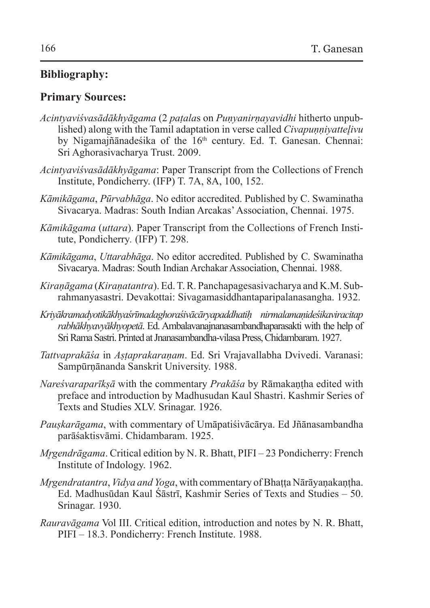### **Bibliography:**

#### **Primary Sources:**

- *Acintyaviśvasādākhyāgama* (2 *paṭala*s on *Puṇyanirṇayavidhi* hitherto unpublished) along with the Tamil adaptation in verse called *Civapunnivattelivu* by Nigamajñānadeśika of the 16<sup>th</sup> century. Ed. T. Ganesan. Chennai: Sri Aghorasivacharya Trust. 2009.
- *Acintyaviśvasādākhyāgama*: Paper Transcript from the Collections of French Institute, Pondicherry. (IFP) T. 7A, 8A, 100, 152.
- *Kāmikāgama*, *Pūrvabhāga*. No editor accredited. Published by C. Swaminatha Sivacarya. Madras: South Indian Arcakas' Association, Chennai. 1975.
- *Kāmikāgama* (*uttara*). Paper Transcript from the Collections of French Institute, Pondicherry*.* (IFP) T. 298.
- *Kāmikāgama*, *Uttarabhāga*. No editor accredited. Published by C. Swaminatha Sivacarya. Madras: South Indian Archakar Association, Chennai. 1988.
- *Kiraṇāgama* (*Kiraṇatantra*). Ed.T.R. Panchapagesasivacharya and K.M. Subrahmanyasastri. Devakottai: Sivagamasiddhantaparipalanasangha. 1932.
- *Kriyākramadyotikākhyaśrīmadaghoraśivācāryapaddhatiḥ nirmalamaṇideśikaviracitap rabhākhyavyākhyopetā*. Ed. Ambalavanajnanasambandhaparasakti with the help of Sri Rama Sastri. Printed atJnanasambandha-vilasa Press, Chidambaram. 1927.
- *Tattvaprakāśa* in *Aṣṭaprakaraṇam*. Ed. Sri Vrajavallabha Dvivedi. Varanasi: Sampūrṇānanda Sanskrit University. 1988.
- *Nareśvaraparīkṣā* with the commentary *Prakāśa* by Rāmakaṇṭha edited with preface and introduction by Madhusudan Kaul Shastri. Kashmir Series of Texts and Studies XLV. Srinagar. 1926.
- *Pauṣkarāgama*, with commentary of Umāpatiśivācārya. Ed Jñānasambandha parāśaktisvāmi. Chidambaram. 1925.
- *Mr̥gendrāgama*. Critical edition by N. R. Bhatt, PIFI 23 Pondicherry: French Institute of Indology. 1962.
- *Mr̥gendratantra*, *Vidya and Yoga*, with commentary of Bhaṭṭa Nārāyaṇakaṇṭha. Ed. Madhusūdan Kaul Śāstrī, Kashmir Series of Texts and Studies – 50. Srinagar. 1930.
- *Rauravāgama* Vol III. Critical edition, introduction and notes by N. R. Bhatt, PIFI – 18.3. Pondicherry: French Institute. 1988.